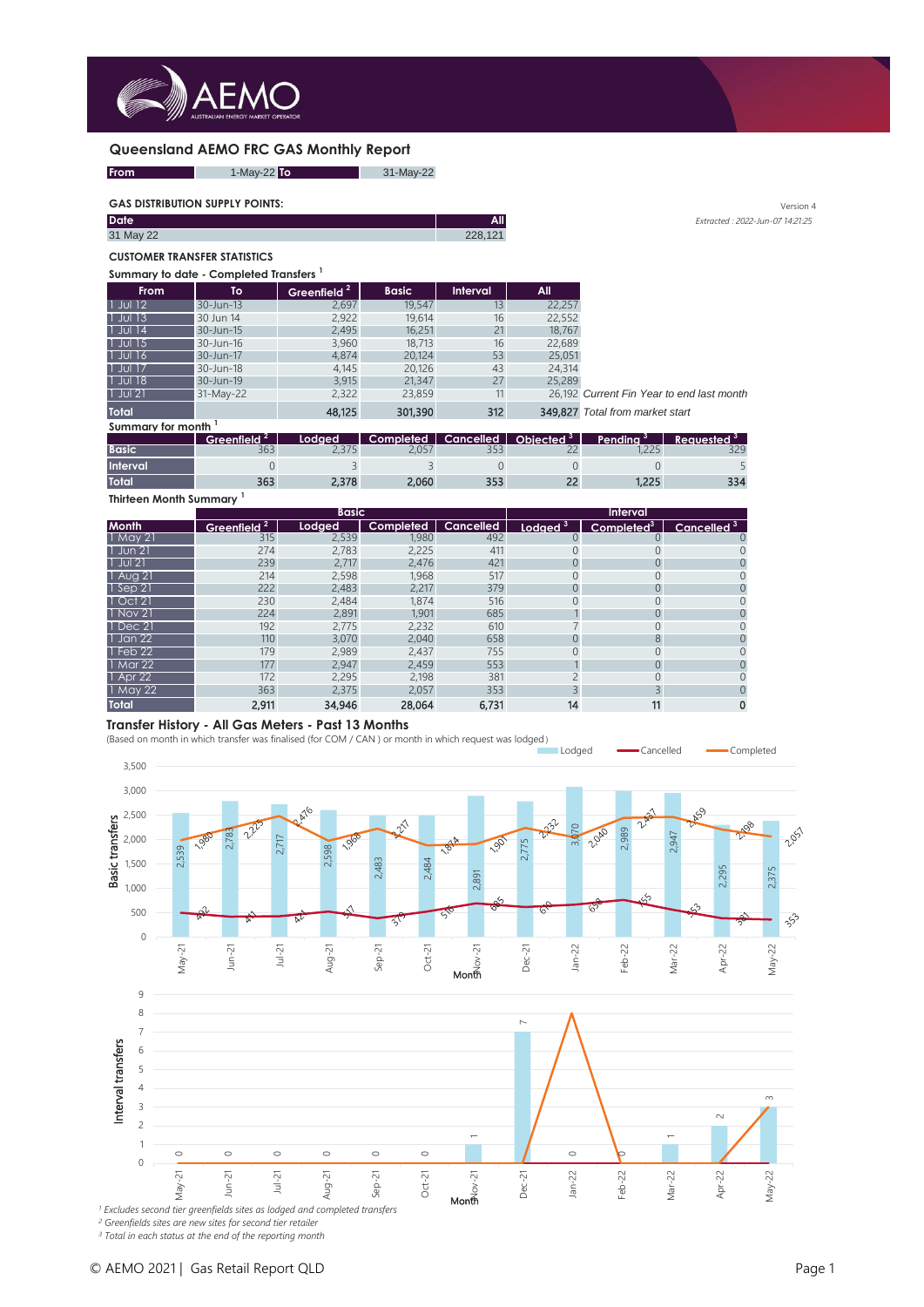

### **Queensland AEMO FRC GAS Monthly Report**



### **GAS DISTRIBUTION SUPPLY POINTS:** Version 4

| <b>Date</b> | All     |
|-------------|---------|
| 31 May 22   | 228 121 |
|             |         |

#### **CUSTOMER TRANSFER STATISTICS**

#### **Summary to date - Completed Transfers <sup>1</sup>**

| <b>From</b>  | To        | Greenfield <sup>2</sup> | <b>Basic</b> | <b>Interval</b> | All.   |                                    |
|--------------|-----------|-------------------------|--------------|-----------------|--------|------------------------------------|
| $1$ Jul 12   | 30-Jun-13 | 2,697                   | 19,547       | 13              | 22,257 |                                    |
| $1$ Jul $13$ | 30 Jun 14 | 2,922                   | 19,614       | 16              | 22,552 |                                    |
| 1 Jul 14     | 30-Jun-15 | 2,495                   | 16,251       | 21              | 18,767 |                                    |
| 1 Jul 15     | 30-Jun-16 | 3,960                   | 18,713       | 16              | 22,689 |                                    |
| 1 Jul 16     | 30-Jun-17 | 4,874                   | 20,124       | 53              | 25,051 |                                    |
| $1$ Jul 17   | 30-Jun-18 | 4,145                   | 20,126       | 43              | 24,314 |                                    |
| 1 Jul 18     | 30-Jun-19 | 3,915                   | 21,347       | 27              | 25,289 |                                    |
| $ 1$ Jul 21  | 31-May-22 | 2,322                   | 23,859       | 11              |        | 26,192 Current Fin Year to end las |
| <b>Total</b> |           | 48,125                  | 301,390      | 312             |        | 349,827 Total from market start    |

*Irrent Fin Year to end last month* **Total** 48,125 301,390 312 349,827 *Total from market start*

**All** *Extracted : 2022-Jun-07 14:21:25* 

**Summary for month <sup>1</sup>**

|              | Greenfield <sup>4</sup> | Lodged. | Completed |             | Cancelled Objected <sup>3</sup> | Pending | Requested <sup>3</sup> |
|--------------|-------------------------|---------|-----------|-------------|---------------------------------|---------|------------------------|
| Basic        | 363                     |         |           |             | $\sim$ $\sim$                   |         | วาก                    |
| Interval     |                         |         |           |             |                                 |         |                        |
| <b>Total</b> | 363                     |         | 2,060     | $\sim$ $ -$ | $\sim$                          |         | 334                    |

**Thirteen Month Summary <sup>1</sup>**

|                     |            | <b>Basic</b> |           |                  |                     | <b>Interval</b>        |                        |
|---------------------|------------|--------------|-----------|------------------|---------------------|------------------------|------------------------|
| <b>Month</b>        | Greenfield | Lodged       | Completed | <b>Cancelled</b> | Lodged <sup>3</sup> | Completed <sup>3</sup> | Cancelled <sup>3</sup> |
| $1$ May 21          | 315        | 2,539        | 1,980     | 492              |                     |                        |                        |
| $1$ Jun 21          | 274        | 2.783        | 2,225     | 411              | 0                   |                        |                        |
| $1$ Jul 21          | 239        | 2,717        | 2.476     | 421              | 0                   |                        |                        |
| 1 Aug 21            | 214        | 2,598        | 1,968     | 517              |                     |                        |                        |
| $\sqrt{2}$ l Sep 21 | 222        | 2,483        | 2,217     | 379              | 0                   | 0                      |                        |
| $\vert$ Oct 21      | 230        | 2,484        | 1.874     | 516              | Ω                   |                        |                        |
| $1$ Nov 21          | 224        | 2,891        | 1,901     | 685              |                     |                        |                        |
| $1$ Dec 21          | 192        | 2,775        | 2,232     | 610              |                     | 0                      |                        |
| 1 Jan 22            | 110        | 3.070        | 2,040     | 658              | 0                   | 8                      |                        |
| 1 Feb 22            | 179        | 2,989        | 2,437     | 755              |                     |                        |                        |
| 1 Mar 22            | 177        | 2,947        | 2,459     | 553              |                     | 0                      |                        |
| 1 Apr 22            | 172        | 2.295        | 2.198     | 381              |                     | 0                      |                        |
| 1 May 22            | 363        | 2.375        | 2,057     | 353              |                     |                        |                        |
| <b>Total</b>        | 2.911      | 34,946       | 28,064    | 6.731            | 14                  | 11                     | 0                      |

## **Transfer History - All Gas Meters - Past 13 Months**

(Based on month in which transfer was finalised (for COM / CAN ) or month in which request was lodged )



*<sup>1</sup> Excludes second tier greenfields sites as lodged and completed transfers <sup>2</sup> Greenfields sites are new sites for second tier retailer*

*<sup>3</sup> Total in each status at the end of the reporting month*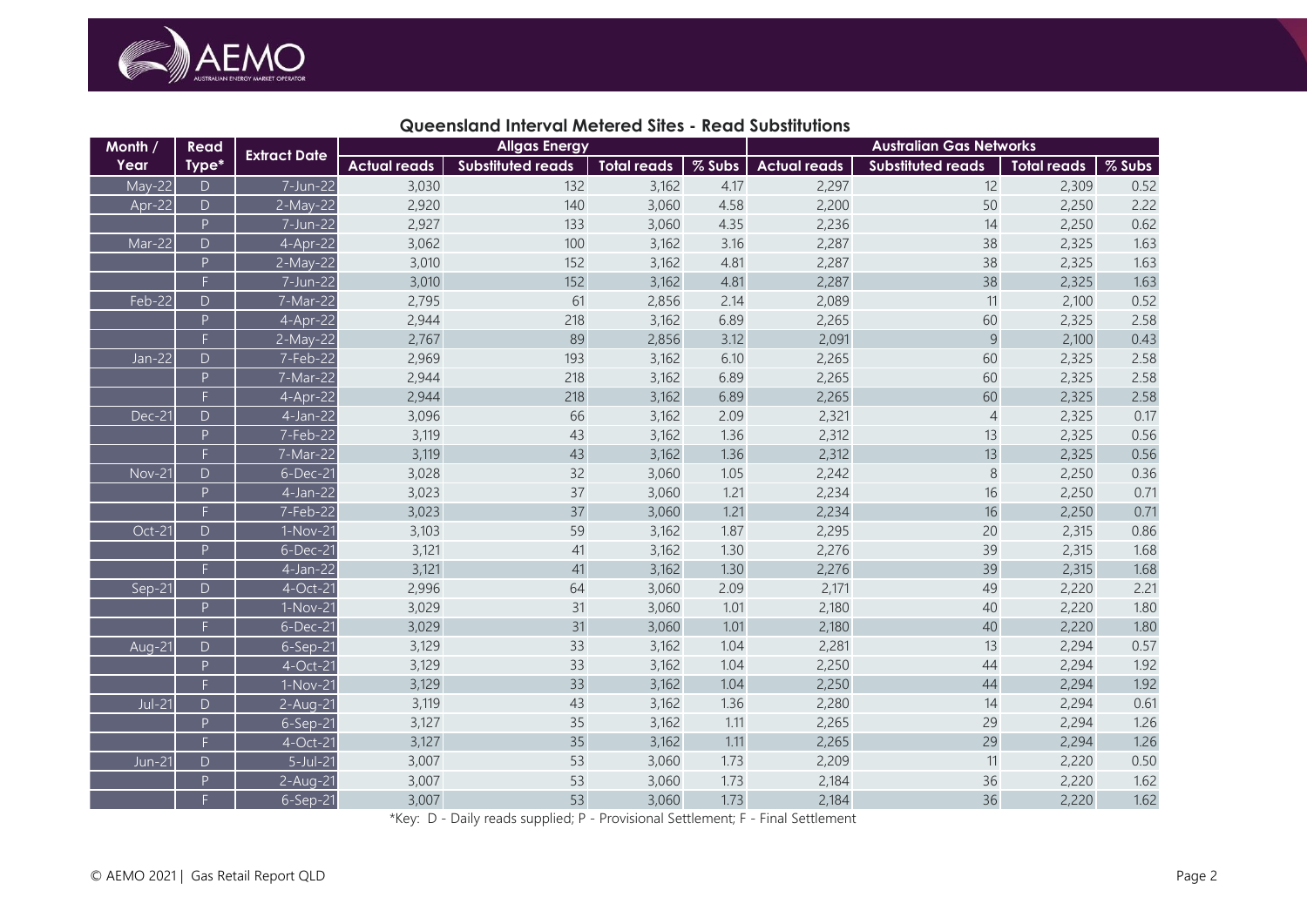

# **Queensland Interval Metered Sites - Read Substitutions**

| Month /       | Read                                                                                                | <b>Extract Date</b> |                     | <b>Allgas Energy</b>     |                    |        |                     | <b>Australian Gas Networks</b> |                    |        |
|---------------|-----------------------------------------------------------------------------------------------------|---------------------|---------------------|--------------------------|--------------------|--------|---------------------|--------------------------------|--------------------|--------|
| Year          | Type*                                                                                               |                     | <b>Actual reads</b> | <b>Substituted reads</b> | <b>Total reads</b> | % Subs | <b>Actual reads</b> | <b>Substituted reads</b>       | <b>Total reads</b> | % Subs |
| May-22        | $\mathsf D$                                                                                         | 7-Jun-22            | 3,030               | 132                      | 3,162              | 4.17   | 2,297               | 12                             | 2,309              | 0.52   |
| Apr-22        | $\mathsf{D}$                                                                                        | 2-May-22            | 2,920               | 140                      | 3,060              | 4.58   | 2,200               | 50                             | 2,250              | 2.22   |
|               | P                                                                                                   | $7 - Jun - 22$      | 2,927               | 133                      | 3,060              | 4.35   | 2,236               | 14                             | 2,250              | 0.62   |
| Mar-22        | $\mathsf D$                                                                                         | $4-Apr-22$          | 3,062               | 100                      | 3,162              | 3.16   | 2,287               | 38                             | 2,325              | 1.63   |
|               | $\mathsf{P}$                                                                                        | 2-May-22            | 3,010               | 152                      | 3,162              | 4.81   | 2,287               | 38                             | 2,325              | 1.63   |
|               | $\overline{\mathsf{F}}$                                                                             | 7-Jun-22            | 3,010               | 152                      | 3,162              | 4.81   | 2,287               | 38                             | 2,325              | 1.63   |
| Feb-22        | D                                                                                                   | 7-Mar-22            | 2,795               | 61                       | 2,856              | 2.14   | 2,089               | 11                             | 2,100              | 0.52   |
|               | $\mathsf{P}% _{0}\left( \mathsf{P}_{0}\right) ^{T}=\mathsf{P}_{0}\left( \mathsf{P}_{0}\right) ^{T}$ | 4-Apr-22            | 2,944               | 218                      | 3,162              | 6.89   | 2,265               | 60                             | 2,325              | 2.58   |
|               | F.                                                                                                  | 2-May-22            | 2,767               | 89                       | 2,856              | 3.12   | 2,091               | $\overline{9}$                 | 2,100              | 0.43   |
| Jan-22        | $\overline{D}$                                                                                      | $7-Feb-22$          | 2,969               | 193                      | 3,162              | 6.10   | 2,265               | 60                             | 2,325              | 2.58   |
|               | $\overline{P}$                                                                                      | $7-Mar-22$          | 2,944               | 218                      | 3,162              | 6.89   | 2,265               | 60                             | 2,325              | 2.58   |
|               | F.                                                                                                  | 4-Apr-22            | 2,944               | 218                      | 3,162              | 6.89   | 2,265               | 60                             | 2,325              | 2.58   |
| Dec-21        | D                                                                                                   | 4-Jan-22            | 3,096               | 66                       | 3,162              | 2.09   | 2,321               | $\overline{4}$                 | 2,325              | 0.17   |
|               | P                                                                                                   | 7-Feb-22            | 3,119               | 43                       | 3,162              | 1.36   | 2,312               | 13                             | 2,325              | 0.56   |
|               | F.                                                                                                  | 7-Mar-22            | 3,119               | 43                       | 3,162              | 1.36   | 2,312               | 13                             | 2,325              | 0.56   |
| <b>Nov-21</b> | $\mathsf D$                                                                                         | $6$ -Dec-21         | 3,028               | 32                       | 3,060              | 1.05   | 2,242               | $\,8\,$                        | 2,250              | 0.36   |
|               | $\overline{P}$                                                                                      | 4-Jan-22            | 3,023               | 37                       | 3,060              | 1.21   | 2,234               | 16                             | 2,250              | 0.71   |
|               | $\overline{F}$                                                                                      | 7-Feb-22            | 3,023               | 37                       | 3,060              | 1.21   | 2,234               | 16                             | 2,250              | 0.71   |
| Oct-21        | $\mathsf D$                                                                                         | 1-Nov-21            | 3,103               | 59                       | 3,162              | 1.87   | 2,295               | 20                             | 2,315              | 0.86   |
|               | $\mathsf{P}$                                                                                        | 6-Dec-21            | 3,121               | 41                       | 3,162              | 1.30   | 2,276               | 39                             | 2,315              | 1.68   |
|               | $\overline{F}$                                                                                      | 4-Jan-22            | 3,121               | 41                       | 3,162              | 1.30   | 2,276               | 39                             | 2,315              | 1.68   |
| Sep-21        | $\mathsf D$                                                                                         | 4-Oct-21            | 2,996               | 64                       | 3,060              | 2.09   | 2,171               | 49                             | 2,220              | 2.21   |
|               | P                                                                                                   | 1-Nov-21            | 3,029               | 31                       | 3,060              | 1.01   | 2,180               | 40                             | 2,220              | 1.80   |
|               | F.                                                                                                  | 6-Dec-21            | 3,029               | 31                       | 3,060              | 1.01   | 2,180               | 40                             | 2,220              | 1.80   |
| Aug-21        | D                                                                                                   | 6-Sep-21            | 3,129               | 33                       | 3,162              | 1.04   | 2,281               | 13                             | 2,294              | 0.57   |
|               | P                                                                                                   | 4-Oct-21            | 3,129               | 33                       | 3,162              | 1.04   | 2,250               | 44                             | 2,294              | 1.92   |
|               | F.                                                                                                  | $1-Nov-21$          | 3,129               | 33                       | 3,162              | 1.04   | 2,250               | 44                             | 2,294              | 1.92   |
| $Jul-21$      | D.                                                                                                  | 2-Aug-21            | 3,119               | 43                       | 3,162              | 1.36   | 2,280               | 14                             | 2,294              | 0.61   |
|               | $\overline{P}$                                                                                      | $6-Sep-21$          | 3,127               | 35                       | 3,162              | 1.11   | 2,265               | 29                             | 2,294              | 1.26   |
|               | F.                                                                                                  | 4-Oct-21            | 3,127               | 35                       | 3,162              | 1.11   | 2,265               | 29                             | 2,294              | 1.26   |
| <b>Jun-21</b> | $\mathsf D$                                                                                         | $5$ -Jul-21         | 3,007               | 53                       | 3,060              | 1.73   | 2,209               | 11                             | 2,220              | 0.50   |
|               | $\overline{P}$                                                                                      | 2-Aug-21            | 3,007               | 53                       | 3,060              | 1.73   | 2,184               | 36                             | 2,220              | 1.62   |
|               | F.                                                                                                  | 6-Sep-21            | 3,007               | 53                       | 3,060              | 1.73   | 2,184               | 36                             | 2,220              | 1.62   |

\*Key: D - Daily reads supplied; P - Provisional Settlement; F - Final Settlement